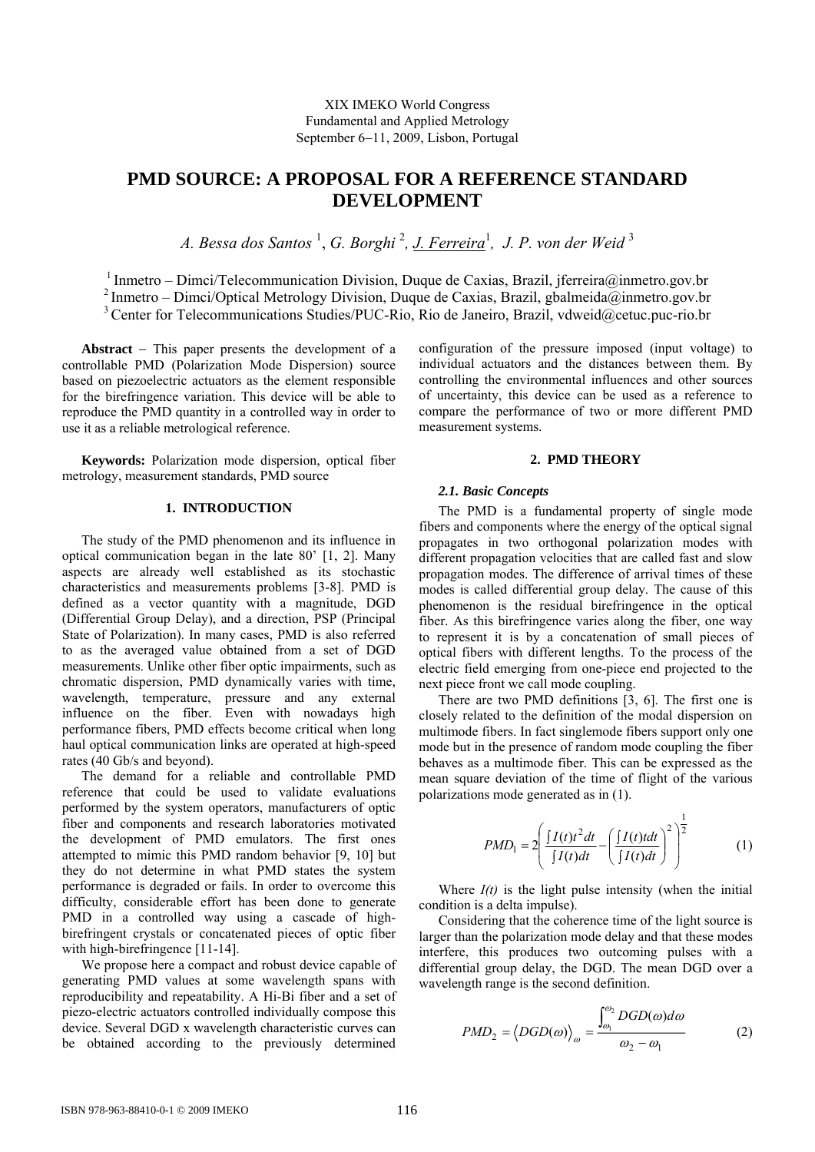# **PMD SOURCE: A PROPOSAL FOR A REFERENCE STANDARD DEVELOPMENT**

*A. Bessa dos Santos* <sup>1</sup> , *G. Borghi* <sup>2</sup> *, J. Ferreira*<sup>1</sup> *, J. P. von der Weid* <sup>3</sup>

 $1$  Inmetro – Dimci/Telecommunication Division, Duque de Caxias, Brazil, jferreira@inmetro.gov.br 2 Inmetro – Dimci/Optical Metrology Division, Duque de Caxias, Brazil, gbalmeida@inmetro.gov.br <sup>3</sup> Center for Telecommunications Studies/PUC-Rio, Rio de Janeiro, Brazil, vdweid@cetuc.puc-rio.br

**Abstract** − This paper presents the development of a controllable PMD (Polarization Mode Dispersion) source based on piezoelectric actuators as the element responsible for the birefringence variation. This device will be able to reproduce the PMD quantity in a controlled way in order to use it as a reliable metrological reference.

**Keywords:** Polarization mode dispersion, optical fiber metrology, measurement standards, PMD source

# **1. INTRODUCTION**

The study of the PMD phenomenon and its influence in optical communication began in the late 80' [1, 2]. Many aspects are already well established as its stochastic characteristics and measurements problems [3-8]. PMD is defined as a vector quantity with a magnitude, DGD (Differential Group Delay), and a direction, PSP (Principal State of Polarization). In many cases, PMD is also referred to as the averaged value obtained from a set of DGD measurements. Unlike other fiber optic impairments, such as chromatic dispersion, PMD dynamically varies with time, wavelength, temperature, pressure and any external influence on the fiber. Even with nowadays high performance fibers, PMD effects become critical when long haul optical communication links are operated at high-speed rates (40 Gb/s and beyond).

The demand for a reliable and controllable PMD reference that could be used to validate evaluations performed by the system operators, manufacturers of optic fiber and components and research laboratories motivated the development of PMD emulators. The first ones attempted to mimic this PMD random behavior [9, 10] but they do not determine in what PMD states the system performance is degraded or fails. In order to overcome this difficulty, considerable effort has been done to generate PMD in a controlled way using a cascade of highbirefringent crystals or concatenated pieces of optic fiber with high-birefringence [11-14].

We propose here a compact and robust device capable of generating PMD values at some wavelength spans with reproducibility and repeatability. A Hi-Bi fiber and a set of piezo-electric actuators controlled individually compose this device. Several DGD x wavelength characteristic curves can be obtained according to the previously determined configuration of the pressure imposed (input voltage) to individual actuators and the distances between them. By controlling the environmental influences and other sources of uncertainty, this device can be used as a reference to compare the performance of two or more different PMD measurement systems.

# **2. PMD THEORY**

#### *2.1. Basic Concepts*

The PMD is a fundamental property of single mode fibers and components where the energy of the optical signal propagates in two orthogonal polarization modes with different propagation velocities that are called fast and slow propagation modes. The difference of arrival times of these modes is called differential group delay. The cause of this phenomenon is the residual birefringence in the optical fiber. As this birefringence varies along the fiber, one way to represent it is by a concatenation of small pieces of optical fibers with different lengths. To the process of the electric field emerging from one-piece end projected to the next piece front we call mode coupling.

There are two PMD definitions [3, 6]. The first one is closely related to the definition of the modal dispersion on multimode fibers. In fact singlemode fibers support only one mode but in the presence of random mode coupling the fiber behaves as a multimode fiber. This can be expressed as the mean square deviation of the time of flight of the various polarizations mode generated as in (1).

$$
PMD_1 = 2\left(\frac{\int I(t)t^2dt}{\int I(t)dt} - \left(\frac{\int I(t)tdt}{\int I(t)dt}\right)^2\right)^{\frac{1}{2}}
$$
(1)

Where  $I(t)$  is the light pulse intensity (when the initial condition is a delta impulse).

Considering that the coherence time of the light source is larger than the polarization mode delay and that these modes interfere, this produces two outcoming pulses with a differential group delay, the DGD. The mean DGD over a wavelength range is the second definition.

$$
PMD_2 = \langle DGD(\omega) \rangle_{\omega} = \frac{\int_{\omega_1}^{\omega_2} DGD(\omega) d\omega}{\omega_2 - \omega_1} \tag{2}
$$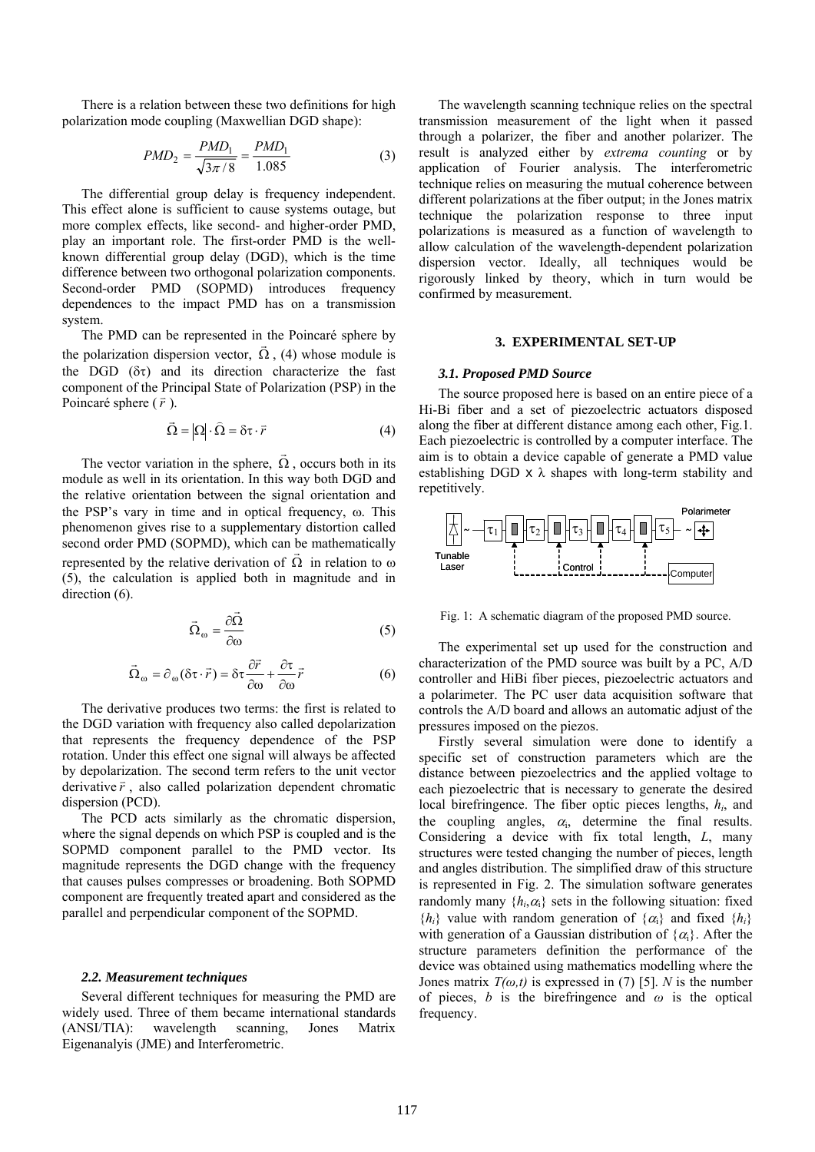There is a relation between these two definitions for high polarization mode coupling (Maxwellian DGD shape):

$$
PMD_2 = \frac{PMD_1}{\sqrt{3\pi/8}} = \frac{PMD_1}{1.085}
$$
 (3)

The differential group delay is frequency independent. This effect alone is sufficient to cause systems outage, but more complex effects, like second- and higher-order PMD, play an important role. The first-order PMD is the wellknown differential group delay (DGD), which is the time difference between two orthogonal polarization components. Second-order PMD (SOPMD) introduces frequency dependences to the impact PMD has on a transmission system.

The PMD can be represented in the Poincaré sphere by the polarization dispersion vector,  $\vec{\Omega}$ , (4) whose module is the DGD  $(\delta \tau)$  and its direction characterize the fast component of the Principal State of Polarization (PSP) in the Poincaré sphere  $(\vec{r})$ .

$$
\vec{\Omega} = |\Omega| \cdot \hat{\Omega} = \delta \tau \cdot \vec{r}
$$
 (4)

The vector variation in the sphere,  $\vec{\Omega}$ , occurs both in its module as well in its orientation. In this way both DGD and the relative orientation between the signal orientation and the PSP's vary in time and in optical frequency, ω. This phenomenon gives rise to a supplementary distortion called second order PMD (SOPMD), which can be mathematically represented by the relative derivation of  $\vec{\Omega}$  in relation to  $\omega$ (5), the calculation is applied both in magnitude and in direction  $(6)$ .

$$
\vec{\Omega}_{\omega} = \frac{\partial \vec{\Omega}}{\partial \omega} \tag{5}
$$

$$
\vec{\Omega}_{\omega} = \partial_{\omega} (\delta \tau \cdot \vec{r}) = \delta \tau \frac{\partial \vec{r}}{\partial \omega} + \frac{\partial \tau}{\partial \omega} \vec{r}
$$
 (6)

The derivative produces two terms: the first is related to the DGD variation with frequency also called depolarization that represents the frequency dependence of the PSP rotation. Under this effect one signal will always be affected by depolarization. The second term refers to the unit vector derivative  $\vec{r}$ , also called polarization dependent chromatic dispersion (PCD).

The PCD acts similarly as the chromatic dispersion, where the signal depends on which PSP is coupled and is the SOPMD component parallel to the PMD vector. Its magnitude represents the DGD change with the frequency that causes pulses compresses or broadening. Both SOPMD component are frequently treated apart and considered as the parallel and perpendicular component of the SOPMD.

#### *2.2. Measurement techniques*

Several different techniques for measuring the PMD are widely used. Three of them became international standards (ANSI/TIA): wavelength scanning, Jones Matrix Eigenanalyis (JME) and Interferometric.

The wavelength scanning technique relies on the spectral transmission measurement of the light when it passed through a polarizer, the fiber and another polarizer. The result is analyzed either by *extrema counting* or by application of Fourier analysis. The interferometric technique relies on measuring the mutual coherence between different polarizations at the fiber output; in the Jones matrix technique the polarization response to three input polarizations is measured as a function of wavelength to allow calculation of the wavelength-dependent polarization dispersion vector. Ideally, all techniques would be rigorously linked by theory, which in turn would be confirmed by measurement.

# **3. EXPERIMENTAL SET-UP**

#### *3.1. Proposed PMD Source*

The source proposed here is based on an entire piece of a Hi-Bi fiber and a set of piezoelectric actuators disposed along the fiber at different distance among each other, Fig.1. Each piezoelectric is controlled by a computer interface. The aim is to obtain a device capable of generate a PMD value establishing DGD  $\times$   $\lambda$  shapes with long-term stability and repetitively.



Fig. 1: A schematic diagram of the proposed PMD source.

The experimental set up used for the construction and characterization of the PMD source was built by a PC, A/D controller and HiBi fiber pieces, piezoelectric actuators and a polarimeter. The PC user data acquisition software that controls the A/D board and allows an automatic adjust of the pressures imposed on the piezos.

Firstly several simulation were done to identify a specific set of construction parameters which are the distance between piezoelectrics and the applied voltage to each piezoelectric that is necessary to generate the desired local birefringence. The fiber optic pieces lengths, *hi*, and the coupling angles,  $\alpha_i$ , determine the final results. Considering a device with fix total length, *L*, many structures were tested changing the number of pieces, length and angles distribution. The simplified draw of this structure is represented in Fig. 2. The simulation software generates randomly many  $\{h_i, \alpha_i\}$  sets in the following situation: fixed  ${h_i}$  value with random generation of  ${\alpha_i}$  and fixed  ${h_i}$ with generation of a Gaussian distribution of  $\{\alpha_i\}$ . After the structure parameters definition the performance of the device was obtained using mathematics modelling where the Jones matrix  $T(\omega, t)$  is expressed in (7) [5]. *N* is the number of pieces, *b* is the birefringence and *ω* is the optical frequency.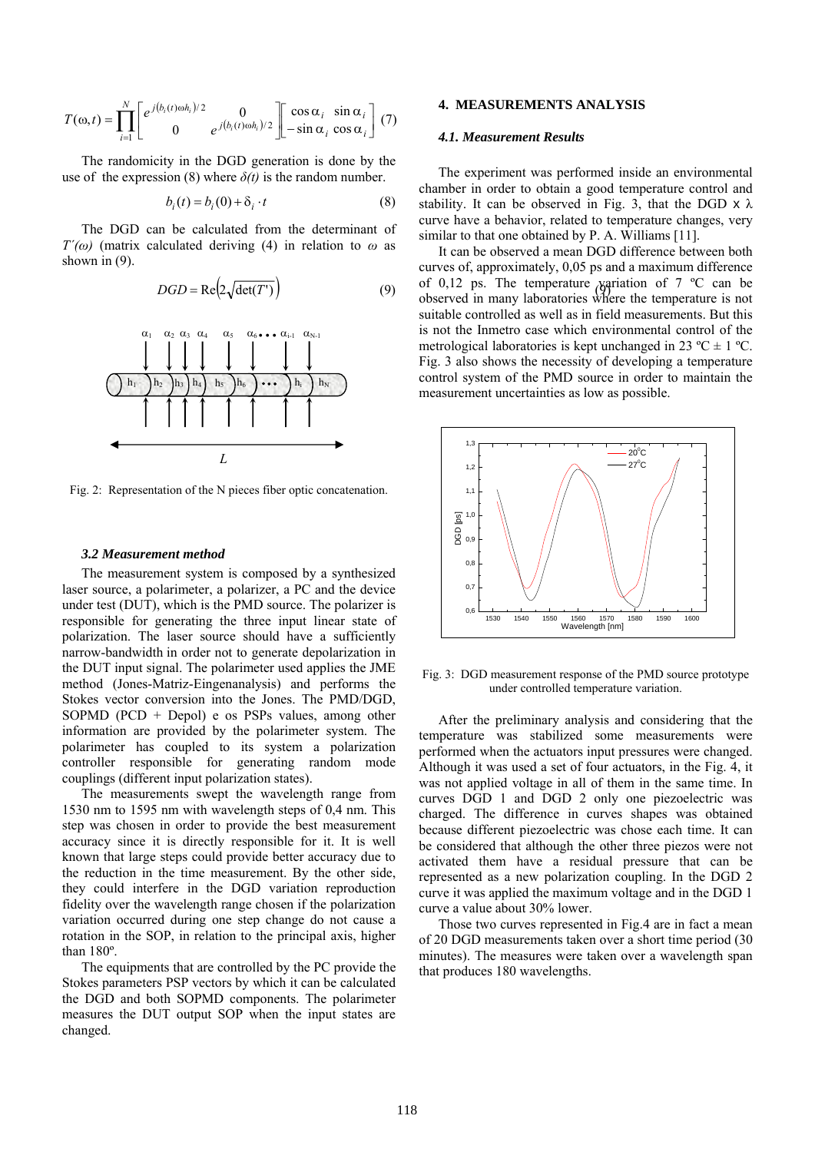$$
T(\omega, t) = \prod_{i=1}^{N} \left[ e^{j(b_i(t)\omega h_i)/2} \begin{matrix} 0 \\ 0 \end{matrix} e^{j(b_i(t)\omega h_i)/2} \right] \left[ \begin{matrix} \cos \alpha_i & \sin \alpha_i \\ -\sin \alpha_i & \cos \alpha_i \end{matrix} \right] (7)
$$

The randomicity in the DGD generation is done by the use of the expression (8) where  $\delta(t)$  is the random number.

$$
b_i(t) = b_i(0) + \delta_i \cdot t \tag{8}
$$

The DGD can be calculated from the determinant of *T'(* $\omega$ *)* (matrix calculated deriving (4) in relation to  $\omega$  as shown in (9).

$$
DGD = \text{Re}\left(2\sqrt{\text{det}(T')}\right) \tag{9}
$$



Fig. 2: Representation of the N pieces fiber optic concatenation.

#### *3.2 Measurement method*

The measurement system is composed by a synthesized laser source, a polarimeter, a polarizer, a PC and the device under test (DUT), which is the PMD source. The polarizer is responsible for generating the three input linear state of polarization. The laser source should have a sufficiently narrow-bandwidth in order not to generate depolarization in the DUT input signal. The polarimeter used applies the JME method (Jones-Matriz-Eingenanalysis) and performs the Stokes vector conversion into the Jones. The PMD/DGD, SOPMD (PCD + Depol) e os PSPs values, among other information are provided by the polarimeter system. The polarimeter has coupled to its system a polarization controller responsible for generating random mode couplings (different input polarization states).

The measurements swept the wavelength range from 1530 nm to 1595 nm with wavelength steps of 0,4 nm. This step was chosen in order to provide the best measurement accuracy since it is directly responsible for it. It is well known that large steps could provide better accuracy due to the reduction in the time measurement. By the other side, they could interfere in the DGD variation reproduction fidelity over the wavelength range chosen if the polarization variation occurred during one step change do not cause a rotation in the SOP, in relation to the principal axis, higher than 180º.

The equipments that are controlled by the PC provide the Stokes parameters PSP vectors by which it can be calculated the DGD and both SOPMD components. The polarimeter measures the DUT output SOP when the input states are changed.

## **4. MEASUREMENTS ANALYSIS**

#### *4.1. Measurement Results*

The experiment was performed inside an environmental chamber in order to obtain a good temperature control and stability. It can be observed in Fig. 3, that the DGD  $\times \lambda$ curve have a behavior, related to temperature changes, very similar to that one obtained by P. A. Williams [11].

 $DGD = \text{Re}\left(2\sqrt{\det(T)}\right)$  (9) of 0,12 ps. The temperature variation of 7 °C can be It can be observed a mean DGD difference between both curves of, approximately, 0,05 ps and a maximum difference observed in many laboratories where the temperature is not suitable controlled as well as in field measurements. But this is not the Inmetro case which environmental control of the metrological laboratories is kept unchanged in 23 °C  $\pm$  1 °C. Fig. 3 also shows the necessity of developing a temperature control system of the PMD source in order to maintain the measurement uncertainties as low as possible.



Fig. 3: DGD measurement response of the PMD source prototype under controlled temperature variation.

After the preliminary analysis and considering that the temperature was stabilized some measurements were performed when the actuators input pressures were changed. Although it was used a set of four actuators, in the Fig. 4, it was not applied voltage in all of them in the same time. In curves DGD 1 and DGD 2 only one piezoelectric was charged. The difference in curves shapes was obtained because different piezoelectric was chose each time. It can be considered that although the other three piezos were not activated them have a residual pressure that can be represented as a new polarization coupling. In the DGD 2 curve it was applied the maximum voltage and in the DGD 1 curve a value about 30% lower.

Those two curves represented in Fig.4 are in fact a mean of 20 DGD measurements taken over a short time period (30 minutes). The measures were taken over a wavelength span that produces 180 wavelengths.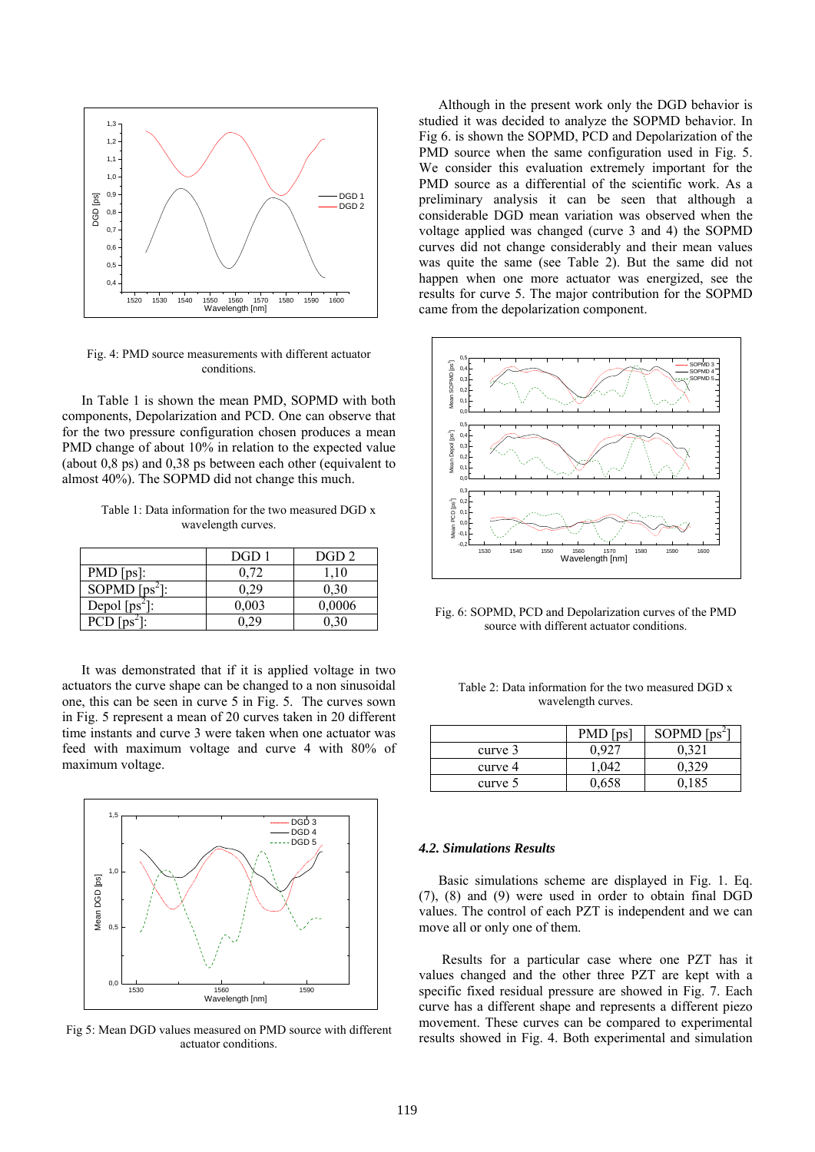

Fig. 4: PMD source measurements with different actuator conditions.

In Table 1 is shown the mean PMD, SOPMD with both components, Depolarization and PCD. One can observe that for the two pressure configuration chosen produces a mean PMD change of about 10% in relation to the expected value (about 0,8 ps) and 0,38 ps between each other (equivalent to almost 40%). The SOPMD did not change this much.

Table 1: Data information for the two measured DGD x wavelength curves.

|                  | DGD 1 | DGD <sub>2</sub> |
|------------------|-------|------------------|
| $PMD [ps]$ :     | 0.72  | 1.10             |
| SOPMD $[ps^2]$ : | 0.29  | 0.30             |
| Depol $[ps^2]$ : | 0.003 | 0,0006           |
| PCD.             |       |                  |

It was demonstrated that if it is applied voltage in two actuators the curve shape can be changed to a non sinusoidal one, this can be seen in curve 5 in Fig. 5. The curves sown in Fig. 5 represent a mean of 20 curves taken in 20 different time instants and curve 3 were taken when one actuator was feed with maximum voltage and curve 4 with 80% of maximum voltage.



Fig 5: Mean DGD values measured on PMD source with different actuator conditions.

Although in the present work only the DGD behavior is studied it was decided to analyze the SOPMD behavior. In Fig 6. is shown the SOPMD, PCD and Depolarization of the PMD source when the same configuration used in Fig. 5. We consider this evaluation extremely important for the PMD source as a differential of the scientific work. As a preliminary analysis it can be seen that although a considerable DGD mean variation was observed when the voltage applied was changed (curve 3 and 4) the SOPMD curves did not change considerably and their mean values was quite the same (see Table 2). But the same did not happen when one more actuator was energized, see the results for curve 5. The major contribution for the SOPMD came from the depolarization component.



Fig. 6: SOPMD, PCD and Depolarization curves of the PMD source with different actuator conditions.

| Table 2: Data information for the two measured DGD x |
|------------------------------------------------------|
| wavelength curves.                                   |

|         | $PMD$ [ps] | SOPMD $[ps^2]$ |
|---------|------------|----------------|
| curve 3 |            | 321            |
| curve 4 |            |                |
| curve 5 |            |                |

## *4.2. Simulations Results*

Basic simulations scheme are displayed in Fig. 1. Eq. (7), (8) and (9) were used in order to obtain final DGD values. The control of each PZT is independent and we can move all or only one of them.

 Results for a particular case where one PZT has it values changed and the other three PZT are kept with a specific fixed residual pressure are showed in Fig. 7. Each curve has a different shape and represents a different piezo movement. These curves can be compared to experimental results showed in Fig. 4. Both experimental and simulation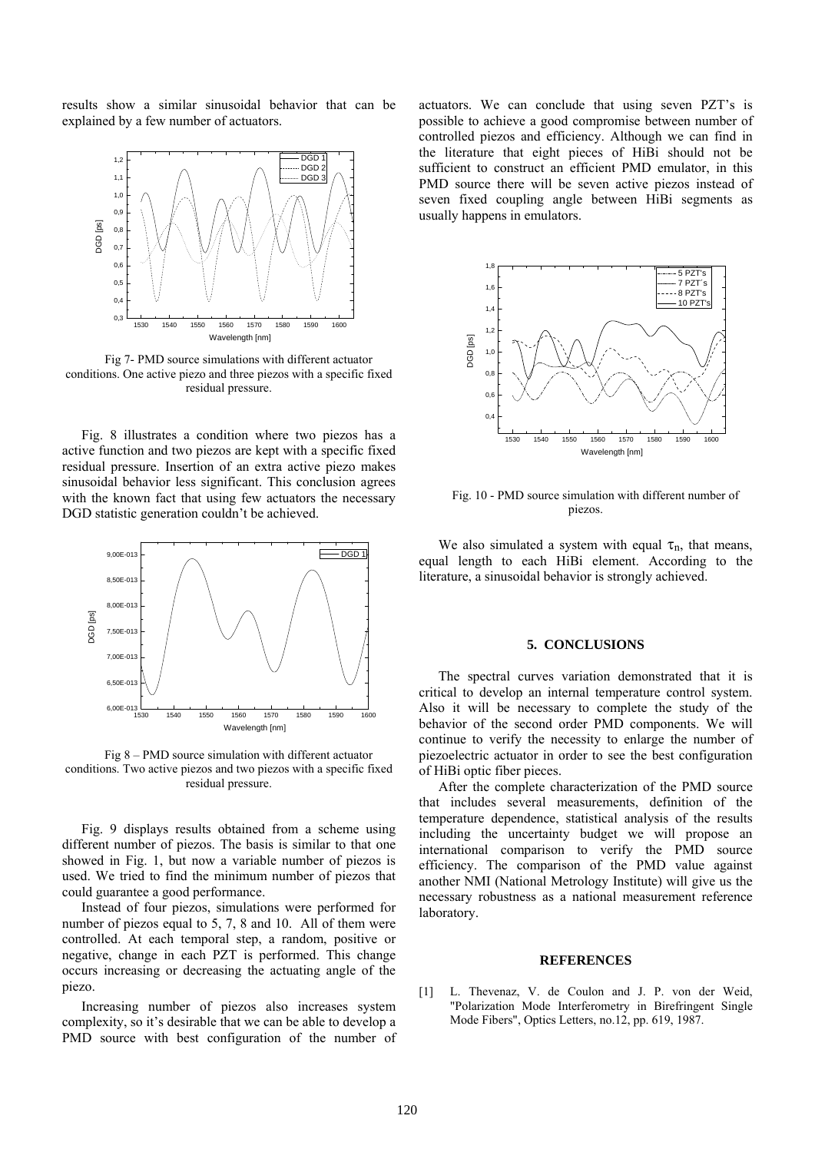results show a similar sinusoidal behavior that can be explained by a few number of actuators.



Fig 7- PMD source simulations with different actuator conditions. One active piezo and three piezos with a specific fixed residual pressure.

Fig. 8 illustrates a condition where two piezos has a active function and two piezos are kept with a specific fixed residual pressure. Insertion of an extra active piezo makes sinusoidal behavior less significant. This conclusion agrees with the known fact that using few actuators the necessary DGD statistic generation couldn't be achieved.



Fig 8 – PMD source simulation with different actuator conditions. Two active piezos and two piezos with a specific fixed residual pressure.

Fig. 9 displays results obtained from a scheme using different number of piezos. The basis is similar to that one showed in Fig. 1, but now a variable number of piezos is used. We tried to find the minimum number of piezos that could guarantee a good performance.

Instead of four piezos, simulations were performed for number of piezos equal to 5, 7, 8 and 10. All of them were controlled. At each temporal step, a random, positive or negative, change in each PZT is performed. This change occurs increasing or decreasing the actuating angle of the piezo.

Increasing number of piezos also increases system complexity, so it's desirable that we can be able to develop a PMD source with best configuration of the number of actuators. We can conclude that using seven PZT's is possible to achieve a good compromise between number of controlled piezos and efficiency. Although we can find in the literature that eight pieces of HiBi should not be sufficient to construct an efficient PMD emulator, in this PMD source there will be seven active piezos instead of seven fixed coupling angle between HiBi segments as usually happens in emulators.



Fig. 10 - PMD source simulation with different number of piezos.

We also simulated a system with equal  $\tau_n$ , that means, equal length to each HiBi element. According to the literature, a sinusoidal behavior is strongly achieved.

## **5. CONCLUSIONS**

The spectral curves variation demonstrated that it is critical to develop an internal temperature control system. Also it will be necessary to complete the study of the behavior of the second order PMD components. We will continue to verify the necessity to enlarge the number of piezoelectric actuator in order to see the best configuration of HiBi optic fiber pieces.

After the complete characterization of the PMD source that includes several measurements, definition of the temperature dependence, statistical analysis of the results including the uncertainty budget we will propose an international comparison to verify the PMD source efficiency. The comparison of the PMD value against another NMI (National Metrology Institute) will give us the necessary robustness as a national measurement reference laboratory.

#### **REFERENCES**

[1] L. Thevenaz, V. de Coulon and J. P. von der Weid, "Polarization Mode Interferometry in Birefringent Single Mode Fibers", Optics Letters, no.12, pp. 619, 1987.